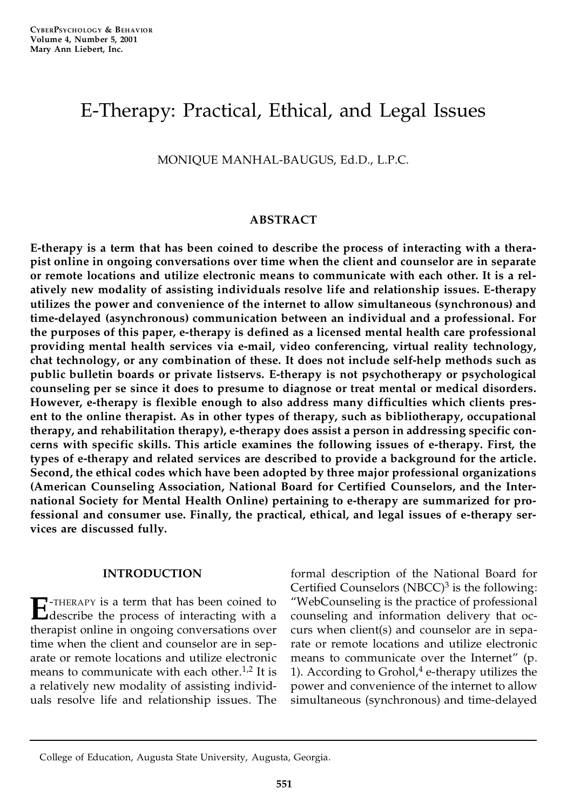# E-Therapy: Practical, Ethical, and Legal Issues

MONIQUE MANHAL-BAUGUS, Ed.D., L.P.C.

# **ABSTRACT**

**E-therapy is a term that has been coined to describe the process of interacting with a thera pist online in ongoing conversations over time when the client and counselor are in separate or remote locations and utilize electronic means to communicate with each other. It is a rel atively new modality of assisting individuals resolve life and relationship issues. E-therapy utilizes the power and convenience of the internet to allow simultaneous (synchronous) and time-delayed (asynchronous) communication between an individual and a professional. For the purposes of this paper, e-therapy is defined as a licensed mental health care professional providing mental health services via e-mail, video conferencing, virtual reality technology, chat technology, or any combination of these. It does not include self-help methods such as public bulletin boards or private listservs. E-therapy is not psychotherapy or psychological counseling per se since it does to presume to diagnose or treat mental or medical disorders. However, e-therapy is flexible enough to also address many difficulties which clients pres ent to the online therapist. As in other types of therapy, such as bibliotherapy, occupational therapy, and rehabilitation therapy), e-therapy does assist a person in addressing specific con cerns with specific skills. This article examines the following issues of e-therapy. First, the types of e-therapy and related services are described to provide a background for the article. Second, the ethical codes which have been adopted by three major professional organizations (American Counseling Association, National Board for Certified Counselors, and the Inter national Society for Mental Health Online) pertaining to e-therapy are summarized for pro fessional and consumer use. Finally, the practical, ethical, and legal issues of e-therapy ser vices are discussed fully.**

# **INTRODUCTION**

**E**-THERAPY is a term that has been coined to "<br>describe the process of interacting with a describe the process of interacting with a therapist online in ongoing conversations over time when the client and counselor are in sep arate or remote locations and utilize electronic means to communicate with each other.<sup>1,2</sup> It is a relatively new modality of assisting individ uals resolve life and relationship issues. The

formal description of the National Board for Certified Counselors  $(NBCC)^3$  is the following: "WebCounseling is the practice of professional counseling and information delivery that oc curs when client(s) and counselor are in sepa rate or remote locations and utilize electronic means to communicate over the Internet" (p. 1). According to  $Grohol<sub>i</sub><sup>4</sup>$  e-therapy utilizes the power and convenience of the internet to allow simultaneous (synchronous) and time-delayed

College of Education, Augusta State University, Augusta, Georgia.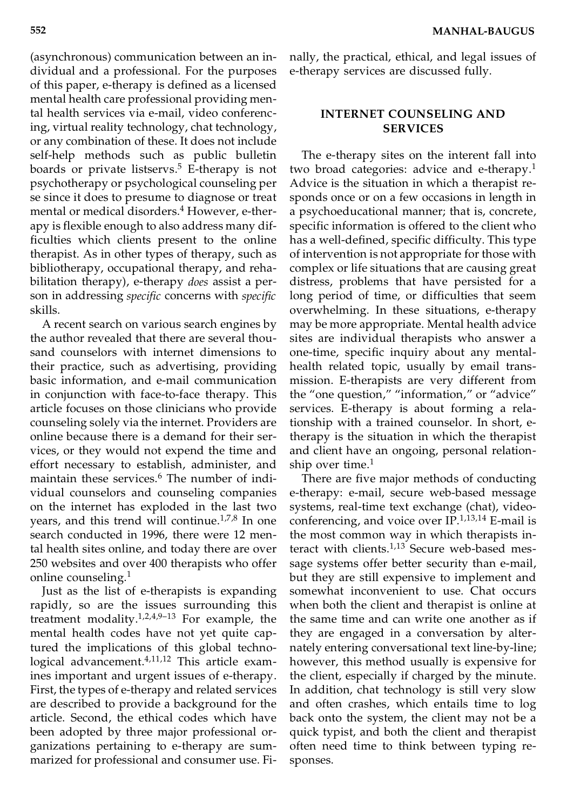(asynchronous) communication between an in dividual and a professional. For the purposes of this paper, e-therapy is defined as a licensed mental health care professional providing mental health services via e-mail, video conferencing, virtual reality technology, chat technology, or any combination of these. It does not include self-help methods such as public bulletin boards or private listservs.<sup>5</sup> E-therapy is not psychotherapy or psychological counseling per se since it does to presume to diagnose or treat mental or medical disorders.<sup>4</sup> However, e-therapy is flexible enough to also address many difficulties which clients present to the online therapist. As in other types of therapy, such as bibliotherapy, occupational therapy, and reha bilitation therapy), e-therapy *does* assist a per son in addressing *specific* concerns with *specific* skills.

A recent search on various search engines by the author revealed that there are several thou sand counselors with internet dimensions to their practice, such as advertising, providing basic information, and e-mail communication in conjunction with face-to-face therapy. This article focuses on those clinicians who provide counseling solely via the internet. Providers are online because there is a demand for their ser vices, or they would not expend the time and effort necessary to establish, administer, and maintain these services.<sup>6</sup> The number of individual counselors and counseling companies on the internet has exploded in the last two years, and this trend will continue. $1.7,8$  In one search conducted in 1996, there were 12 mental health sites online, and today there are over 250 websites and over 400 therapists who offer online counseling.<sup>1</sup>

Just as the list of e-therapists is expanding rapidly, so are the issues surrounding this treatment modality.<sup>1,2,4,9–13</sup> For example, the mental health codes have not yet quite captured the implications of this global technological advancement. $4,11,12$  This article examines important and urgent issues of e-therapy. First, the types of e-therapy and related services are described to provide a background for the article. Second, the ethical codes which have been adopted by three major professional or ganizations pertaining to e-therapy are sum marized for professional and consumer use. Finally, the practical, ethical, and legal issues of e-therapy services are discussed fully.

# **INTERNET COUNSELING AND SERVICES**

The e-therapy sites on the interent fall into two broad categories: advice and e-therapy.<sup>1</sup> Advice is the situation in which a therapist re sponds once or on a few occasions in length in a psychoeducational manner; that is, concrete, specific information is offered to the client who has a well-defined, specific difficulty. This type of intervention is not appropriate for those with complex or life situations that are causing great distress, problems that have persisted for a long period of time, or difficulties that seem overwhelming. In these situations, e-therapy may be more appropriate. Mental health advice sites are individual therapists who answer a one-time, specific inquiry about any mental health related topic, usually by email trans mission. E-therapists are very different from the "one question," "information," or "advice" services. E-therapy is about forming a relationship with a trained counselor. In short, etherapy is the situation in which the therapist and client have an ongoing, personal relation ship over time.<sup>1</sup>

There are five major methods of conducting e-therapy: e-mail, secure web-based message systems, real-time text exchange (chat), video conferencing, and voice over IP.1,13,14 E-mail is the most common way in which therapists interact with clients.1,13 Secure web-based mes sage systems offer better security than e-mail, but they are still expensive to implement and somewhat inconvenient to use. Chat occurs when both the client and therapist is online at the same time and can write one another as if they are engaged in a conversation by alter nately entering conversational text line-by-line; however, this method usually is expensive for the client, especially if charged by the minute. In addition, chat technology is still very slow and often crashes, which entails time to log back onto the system, the client may not be a quick typist, and both the client and therapist often need time to think between typing re sponses.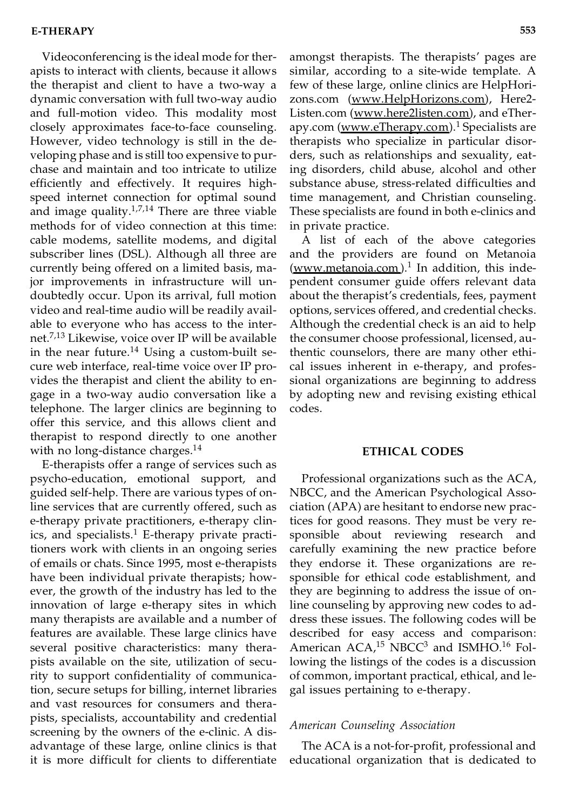Videoconferencing is the ideal mode for ther apists to interact with clients, because it allows the therapist and client to have a two-way a dynamic conversation with full two-way audio and full-motion video. This modality most closely approximates face-to-face counseling. However, video technology is still in the de veloping phase and is still too expensive to pur chase and maintain and too intricate to utilize efficiently and effectively. It requires high speed internet connection for optimal sound and image quality. $1.7,14$  There are three viable methods for of video connection at this time: cable modems, satellite modems, and digital subscriber lines (DSL). Although all three are currently being offered on a limited basis, major improvements in infrastructure will un doubtedly occur. Upon its arrival, full motion video and real-time audio will be readily avail able to everyone who has access to the inter net.7,13 Likewise, voice over IP will be available in the near future. $14$  Using a custom-built secure web interface, real-time voice over IP pro vides the therapist and client the ability to en gage in a two-way audio conversation like a telephone. The larger clinics are beginning to offer this service, and this allows client and therapist to respond directly to one another with no long-distance charges.<sup>14</sup>

E-therapists offer a range of services such as psycho-education, emotional support, and guided self-help. There are various types of online services that are currently offered, such as e-therapy private practitioners, e-therapy clinics, and specialists.<sup>1</sup> E-therapy private practitioners work with clients in an ongoing series of emails or chats. Since 1995, most e-therapists have been individual private therapists; how ever, the growth of the industry has led to the innovation of large e-therapy sites in which many therapists are available and a number of features are available. These large clinics have several positive characteristics: many thera pists available on the site, utilization of secu rity to support confidentiality of communication, secure setups for billing, internet libraries and vast resources for consumers and thera pists, specialists, accountability and credential screening by the owners of the e-clinic. A dis advantage of these large, online clinics is that it is more difficult for clients to differentiate amongst therapists. The therapists' pages are similar, according to a site-wide template. A few of these large, online clinics are HelpHori zons.com (www.HelpHorizons.com), Here2- Listen.com (www.here2listen.com), and eTherapy.com (www.eTherapy.com).<sup>1</sup> Specialists are therapists who specialize in particular disor ders, such as relationships and sexuality, eating disorders, child abuse, alcohol and other substance abuse, stress-related difficulties and time management, and Christian counseling. These specialists are found in both e-clinics and in private practice.

A list of each of the above categories and the providers are found on Metanoia  $(www.metanoia.com)<sup>1</sup>$  In addition, this independent consumer guide offers relevant data about the therapist's credentials, fees, payment options, services offered, and credential checks. Although the credential check is an aid to help the consumer choose professional, licensed, authentic counselors, there are many other ethi cal issues inherent in e-therapy, and profes sional organizations are beginning to address by adopting new and revising existing ethical codes.

## **ETHICAL CODES**

Professional organizations such as the ACA, NBCC, and the American Psychological Asso ciation (APA) are hesitant to endorse new practices for good reasons. They must be very re sponsible about reviewing research and carefully examining the new practice before they endorse it. These organizations are re sponsible for ethical code establishment, and they are beginning to address the issue of online counseling by approving new codes to ad dress these issues. The following codes will be described for easy access and comparison: American ACA,<sup>15</sup> NBCC<sup>3</sup> and ISMHO.<sup>16</sup> Following the listings of the codes is a discussion of common, important practical, ethical, and le gal issues pertaining to e-therapy.

# *American Counseling Association*

The ACA is a not-for-profit, professional and educational organization that is dedicated to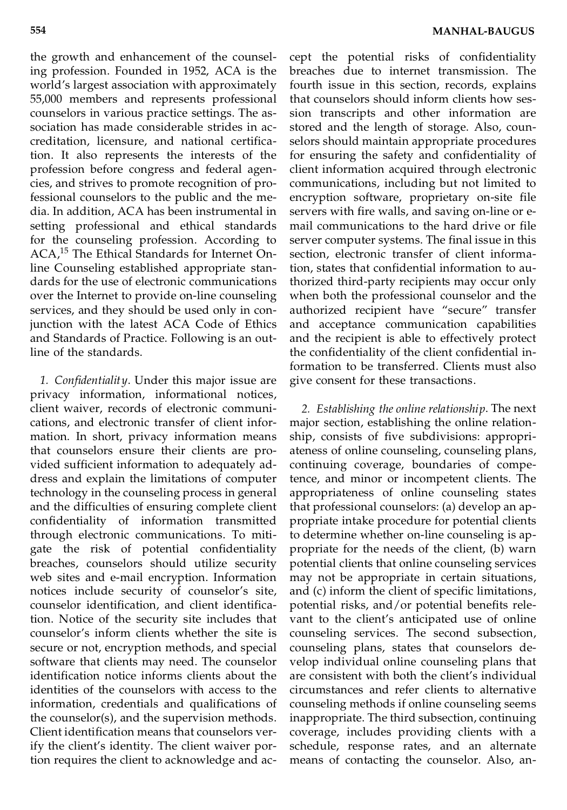the growth and enhancement of the counseling profession. Founded in 1952, ACA is the world's largest association with approximately 55,000 members and represents professional counselors in various practice settings. The as sociation has made considerable strides in ac creditation, licensure, and national certification. It also represents the interests of the profession before congress and federal agen cies, and strives to promote recognition of professional counselors to the public and the me dia. In addition, ACA has been instrumental in setting professional and ethical standards for the counseling profession. According to ACA,<sup>15</sup> The Ethical Standards for Internet Online Counseling established appropriate stan dards for the use of electronic communications over the Internet to provide on-line counseling services, and they should be used only in conjunction with the latest ACA Code of Ethics and Standards of Practice. Following is an outline of the standards.

*1. Confidentiality*. Under this major issue are privacy information, informational notices, client waiver, records of electronic communi cations, and electronic transfer of client infor mation. In short, privacy information means that counselors ensure their clients are pro vided sufficient information to adequately ad dress and explain the limitations of computer technology in the counseling process in general and the difficulties of ensuring complete client confidentiality of information transmitted through electronic communications. To miti gate the risk of potential confidentiality breaches, counselors should utilize security web sites and e-mail encryption. Information notices include security of counselor's site, counselor identification, and client identification. Notice of the security site includes that counselor's inform clients whether the site is secure or not, encryption methods, and special software that clients may need. The counselor identification notice informs clients about the identities of the counselors with access to the information, credentials and qualifications of the counselor(s), and the supervision methods. Client identification means that counselors verify the client's identity. The client waiver portion requires the client to acknowledge and accept the potential risks of confidentiality breaches due to internet transmission. The fourth issue in this section, records, explains that counselors should inform clients how ses sion transcripts and other information are stored and the length of storage. Also, coun selors should maintain appropriate procedures for ensuring the safety and confidentiality of client information acquired through electronic communications, including but not limited to encryption software, proprietary on-site file servers with fire walls, and saving on-line or email communications to the hard drive or file server computer systems. The final issue in this section, electronic transfer of client information, states that confidential information to authorized third-party recipients may occur only when both the professional counselor and the authorized recipient have "secure" transfer and acceptance communication capabilities and the recipient is able to effectively protect the confidentiality of the client confidential information to be transferred. Clients must also give consent for these transactions.

*2. Establishing the online relationship*. The next major section, establishing the online relation ship, consists of five subdivisions: appropri ateness of online counseling, counseling plans, continuing coverage, boundaries of competence, and minor or incompetent clients. The appropriateness of online counseling states that professional counselors: (a) develop an ap propriate intake procedure for potential clients to determine whether on-line counseling is ap propriate for the needs of the client, (b) warn potential clients that online counseling services may not be appropriate in certain situations, and (c) inform the client of specific limitations, potential risks, and/or potential benefits rele vant to the client's anticipated use of online counseling services. The second subsection, counseling plans, states that counselors de velop individual online counseling plans that are consistent with both the client's individual circumstances and refer clients to alternative counseling methods if online counseling seems inappropriate. The third subsection, continuing coverage, includes providing clients with a schedule, response rates, and an alternate means of contacting the counselor. Also, an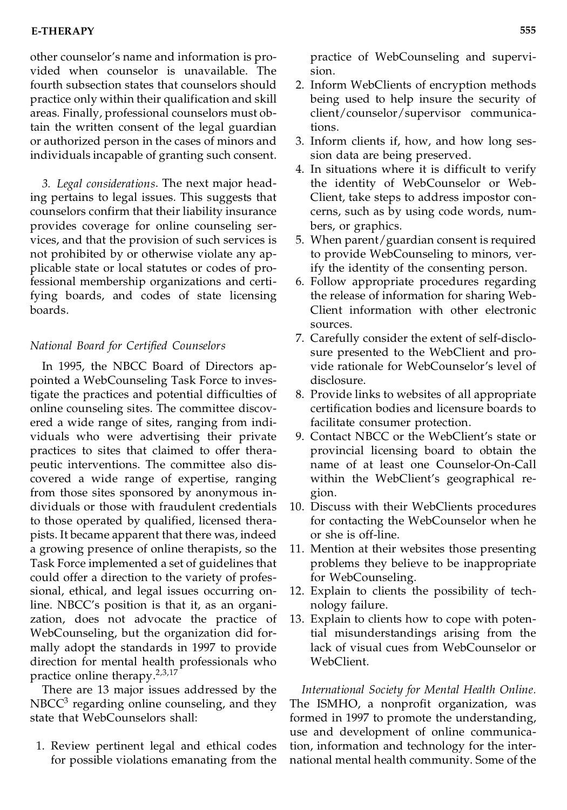other counselor's name and information is pro vided when counselor is unavailable. The fourth subsection states that counselors should practice only within their qualification and skill areas. Finally, professional counselors must obtain the written consent of the legal guardian or authorized person in the cases of minors and individuals incapable of granting such consent.

*3. Legal considerations*. The next major heading pertains to legal issues. This suggests that counselors confirm that their liability insurance provides coverage for online counseling ser vices, and that the provision of such services is not prohibited by or otherwise violate any ap plicable state or local statutes or codes of professional membership organizations and certifying boards, and codes of state licensing boards.

# *National Board for Certified Counselors*

In 1995, the NBCC Board of Directors ap pointed a WebCounseling Task Force to investigate the practices and potential difficulties of online counseling sites. The committee discov ered a wide range of sites, ranging from indi viduals who were advertising their private practices to sites that claimed to offer thera peutic interventions. The committee also dis covered a wide range of expertise, ranging from those sites sponsored by anonymous in dividuals or those with fraudulent credentials to those operated by qualified, licensed thera pists. It became apparent that there was, indeed a growing presence of online therapists, so the Task Force implemented a set of guidelines that could offer a direction to the variety of profes sional, ethical, and legal issues occurring online. NBCC's position is that it, as an organi zation, does not advocate the practice of WebCounseling, but the organization did for mally adopt the standards in 1997 to provide direction for mental health professionals who practice online therapy. $2,3,17$ 

There are 13 major issues addressed by the  $NBCC<sup>3</sup>$  regarding online counseling, and they state that WebCounselors shall:

1. Review pertinent legal and ethical codes for possible violations emanating from the practice of WebCounseling and supervi sion.

- 2. Inform WebClients of encryption methods being used to help insure the security of client/counselor/supervisor communications.
- 3. Inform clients if, how, and how long ses sion data are being preserved.
- 4. In situations where it is difficult to verify the identity of WebCounselor or Web- Client, take steps to address impostor con cerns, such as by using code words, num bers, or graphics.
- 5. When parent/guardian consent is required to provide WebCounseling to minors, verify the identity of the consenting person.
- 6. Follow appropriate procedures regarding the release of information for sharing Web- Client information with other electronic sources.
- 7. Carefully consider the extent of self-disclo sure presented to the WebClient and pro vide rationale for WebCounselor's level of disclosure.
- 8. Provide links to websites of all appropriate certification bodies and licensure boards to facilitate consumer protection.
- 9. Contact NBCC or the WebClient's state or provincial licensing board to obtain the name of at least one Counselor-On-Call within the WebClient's geographical re gion.
- 10. Discuss with their WebClients procedures for contacting the WebCounselor when he or she is off-line.
- 11. Mention at their websites those presenting problems they believe to be inappropriate for WebCounseling.
- 12. Explain to clients the possibility of tech nology failure.
- 13. Explain to clients how to cope with potential misunderstandings arising from the lack of visual cues from WebCounselor or WebClient.

*International Society for Mental Health Online.* The ISMHO, a nonprofit organization, was formed in 1997 to promote the understanding, use and development of online communication, information and technology for the inter national mental health community. Some of the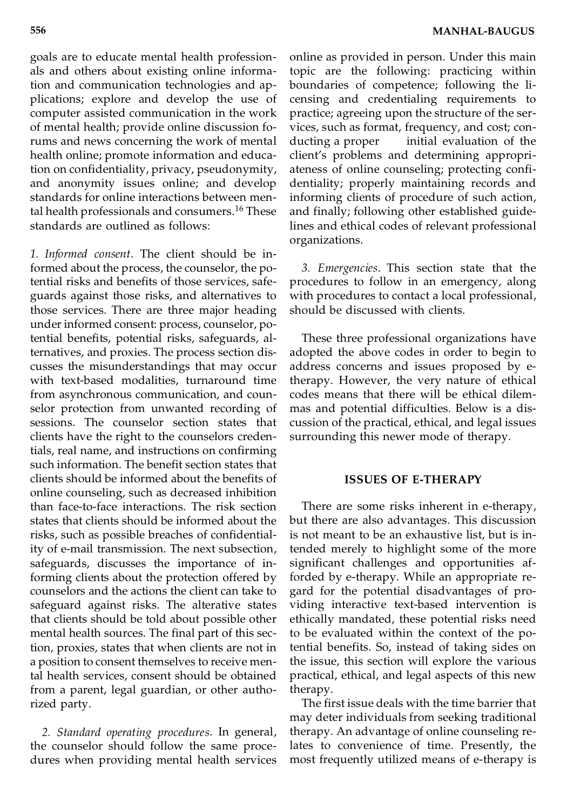goals are to educate mental health profession als and others about existing online information and communication technologies and ap plications; explore and develop the use of computer assisted communication in the work of mental health; provide online discussion fo rums and news concerning the work of mental health online; promote information and education on confidentiality, privacy, pseudonymity, and anonymity issues online; and develop standards for online interactions between mental health professionals and consumers.<sup>16</sup> These standards are outlined as follows:

*1. Informed consent*. The client should be informed about the process, the counselor, the potential risks and benefits of those services, safe guards against those risks, and alternatives to those services. There are three major heading under informed consent: process, counselor, potential benefits, potential risks, safeguards, alternatives, and proxies. The process section dis cusses the misunderstandings that may occur with text-based modalities, turnaround time from asynchronous communication, and coun selor protection from unwanted recording of sessions. The counselor section states that clients have the right to the counselors credentials, real name, and instructions on confirming such information. The benefit section states that clients should be informed about the benefits of online counseling, such as decreased inhibition than face-to-face interactions. The risk section states that clients should be informed about the risks, such as possible breaches of confidentiality of e-mail transmission. The next subsection, safeguards, discusses the importance of informing clients about the protection offered by counselors and the actions the client can take to safeguard against risks. The alterative states that clients should be told about possible other mental health sources. The final part of this section, proxies, states that when clients are not in a position to consent themselves to receive mental health services, consent should be obtained from a parent, legal guardian, or other autho rized party.

*2. Standard operating procedures*. In general, the counselor should follow the same proce dures when providing mental health services online as provided in person. Under this main topic are the following: practicing within boundaries of competence; following the li censing and credentialing requirements to practice; agreeing upon the structure of the ser vices, such as format, frequency, and cost; con ducting a proper initial evaluation of the client's problems and determining appropri ateness of online counseling; protecting confi dentiality; properly maintaining records and informing clients of procedure of such action, and finally; following other established guidelines and ethical codes of relevant professional organizations.

*3. Emergencies*. This section state that the procedures to follow in an emergency, along with procedures to contact a local professional, should be discussed with clients.

These three professional organizations have adopted the above codes in order to begin to address concerns and issues proposed by etherapy. However, the very nature of ethical codes means that there will be ethical dilem mas and potential difficulties. Below is a dis cussion of the practical, ethical, and legal issues surrounding this newer mode of therapy.

## **ISSUES OF E-THERAPY**

There are some risks inherent in e-therapy, but there are also advantages. This discussion is not meant to be an exhaustive list, but is intended merely to highlight some of the more significant challenges and opportunities afforded by e-therapy. While an appropriate re gard for the potential disadvantages of pro viding interactive text-based intervention is ethically mandated, these potential risks need to be evaluated within the context of the potential benefits. So, instead of taking sides on the issue, this section will explore the various practical, ethical, and legal aspects of this new therapy.

The first issue deals with the time barrier that may deter individuals from seeking traditional therapy. An advantage of online counseling relates to convenience of time. Presently, the most frequently utilized means of e-therapy is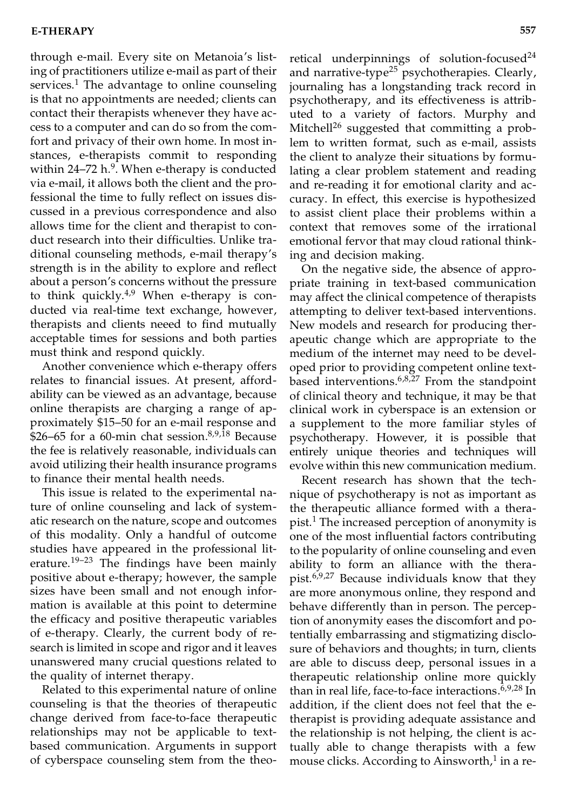through e-mail. Every site on Metanoia's listing of practitioners utilize e-mail as part of their services.<sup>1</sup> The advantage to online counseling is that no appointments are needed; clients can contact their therapists whenever they have ac cess to a computer and can do so from the comfort and privacy of their own home. In most in stances, e-therapists commit to responding within 24–72 h. $9$ . When e-therapy is conducted la via e-mail, it allows both the client and the professional the time to fully reflect on issues dis cussed in a previous correspondence and also allows time for the client and therapist to con duct research into their difficulties. Unlike tra ditional counseling methods, e-mail therapy's strength is in the ability to explore and reflect about a person's concerns without the pressure to think quickly. $4.9$  When e-therapy is conducted via real-time text exchange, however, therapists and clients neeed to find mutually acceptable times for sessions and both parties must think and respond quickly.

Another convenience which e-therapy offers relates to financial issues. At present, afford ability can be viewed as an advantage, because online therapists are charging a range of ap proximately \$15–50 for an e-mail response and  $$26-65$  for a 60-min chat session.<sup>8,9,18</sup> Because the fee is relatively reasonable, individuals can avoid utilizing their health insurance programs to finance their mental health needs.

This issue is related to the experimental nature of online counseling and lack of system atic research on the nature, scope and outcomes of this modality. Only a handful of outcome studies have appeared in the professional lit erature.<sup>19–23</sup> The findings have been mainly positive about e-therapy; however, the sample sizes have been small and not enough infor mation is available at this point to determine the efficacy and positive therapeutic variables of e-therapy. Clearly, the current body of re search is limited in scope and rigor and it leaves unanswered many crucial questions related to the quality of internet therapy.

Related to this experimental nature of online counseling is that the theories of therapeutic change derived from face-to-face therapeutic relationships may not be applicable to text based communication. Arguments in support of cyberspace counseling stem from the theo-

retical underpinnings of solution-focused 24 and narrative-type<sup>25</sup> psychotherapies. Clearly, journaling has a longstanding track record in psychotherapy, and its effectiveness is attrib uted to a variety of factors. Murphy and Mitchell<sup>26</sup> suggested that committing a problem to written format, such as e-mail, assists the client to analyze their situations by formulating a clear problem statement and reading and re-reading it for emotional clarity and ac curacy. In effect, this exercise is hypothesized to assist client place their problems within a context that removes some of the irrational emotional fervor that may cloud rational thinking and decision making.

On the negative side, the absence of appro priate training in text-based communication may affect the clinical competence of therapists attempting to deliver text-based interventions. New models and research for producing ther apeutic change which are appropriate to the medium of the internet may need to be devel oped prior to providing competent online text based interventions.6,8,27 From the standpoint of clinical theory and technique, it may be that clinical work in cyberspace is an extension or a supplement to the more familiar styles of psychotherapy. However, it is possible that entirely unique theories and techniques will evolve within this new communication medium.

Recent research has shown that the tech nique of psychotherapy is not as important as the therapeutic alliance formed with a thera pist.<sup>1</sup> The increased perception of anonymity is one of the most influential factors contributing to the popularity of online counseling and even ability to form an alliance with the thera pist.6,9,27 Because individuals know that they are more anonymous online, they respond and behave differently than in person. The perception of anonymity eases the discomfort and potentially embarrassing and stigmatizing disclo sure of behaviors and thoughts; in turn, clients are able to discuss deep, personal issues in a therapeutic relationship online more quickly than in real life, face-to-face interactions.<sup>6,9,28</sup> In addition, if the client does not feel that the etherapist is providing adequate assistance and the relationship is not helping, the client is actually able to change therapists with a few mouse clicks. According to Ainsworth, $1$  in a re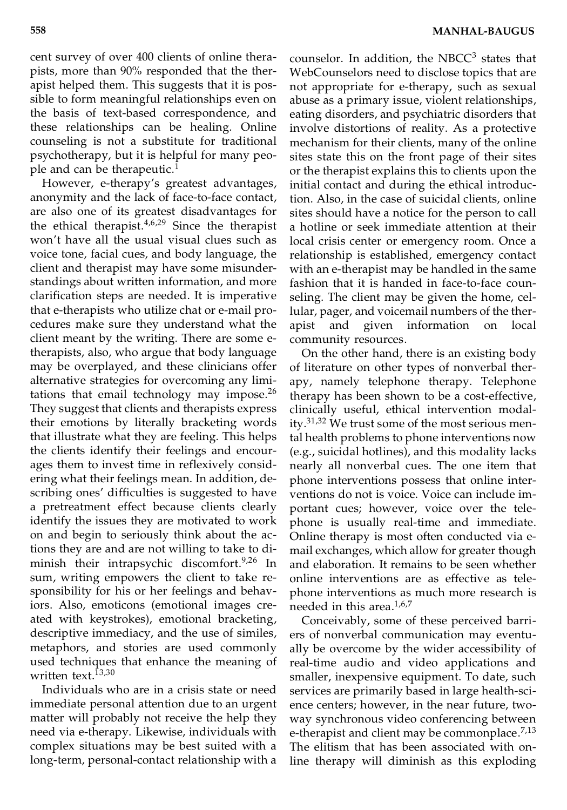cent survey of over 400 clients of online thera pists, more than 90% responded that the ther apist helped them. This suggests that it is pos sible to form meaningful relationships even on the basis of text-based correspondence, and these relationships can be healing. Online counseling is not a substitute for traditional psychotherapy, but it is helpful for many peo ple and can be therapeutic. $1$ 

However, e-therapy's greatest advantages, anonymity and the lack of face-to-face contact, are also one of its greatest disadvantages for the ethical therapist.<sup>4,6,29</sup> Since the therapist won't have all the usual visual clues such as voice tone, facial cues, and body language, the client and therapist may have some misunder standings about written information, and more clarification steps are needed. It is imperative that e-therapists who utilize chat or e-mail pro cedures make sure they understand what the client meant by the writing. There are some etherapists, also, who argue that body language may be overplayed, and these clinicians offer alternative strategies for overcoming any limitations that email technology may impose.<sup>26</sup> They suggest that clients and therapists express their emotions by literally bracketing words that illustrate what they are feeling. This helps the clients identify their feelings and encour ages them to invest time in reflexively consid ering what their feelings mean. In addition, de scribing ones' difficulties is suggested to have a pretreatment effect because clients clearly identify the issues they are motivated to work on and begin to seriously think about the actions they are and are not willing to take to di minish their intrapsychic discomfort.<sup>9,26</sup> In sum, writing empowers the client to take re sponsibility for his or her feelings and behaviors. Also, emoticons (emotional images cre ated with keystrokes), emotional bracketing, descriptive immediacy, and the use of similes, metaphors, and stories are used commonly used techniques that enhance the meaning of written text.<sup>13,30</sup>

Individuals who are in a crisis state or need immediate personal attention due to an urgent matter will probably not receive the help they need via e-therapy. Likewise, individuals with complex situations may be best suited with a long-term, personal-contact relationship with a

counselor. In addition, the NBCC $3$  states that WebCounselors need to disclose topics that are not appropriate for e-therapy, such as sexual abuse as a primary issue, violent relationships, eating disorders, and psychiatric disorders that involve distortions of reality. As a protective mechanism for their clients, many of the online sites state this on the front page of their sites or the therapist explains this to clients upon the initial contact and during the ethical introduction. Also, in the case of suicidal clients, online sites should have a notice for the person to call a hotline or seek immediate attention at their local crisis center or emergency room. Once a relationship is established, emergency contact with an e-therapist may be handled in the same fashion that it is handed in face-to-face coun seling. The client may be given the home, cellular, pager, and voicemail numbers of the ther given information on local community resources.

On the other hand, there is an existing body of literature on other types of nonverbal ther apy, namely telephone therapy. Telephone therapy has been shown to be a cost-effective, clinically useful, ethical intervention modality.31,32 We trust some of the most serious mental health problems to phone interventions now (e.g., suicidal hotlines), and this modality lacks nearly all nonverbal cues. The one item that phone interventions possess that online inter ventions do not is voice. Voice can include im portant cues; however, voice over the tele phone is usually real-time and immediate. Online therapy is most often conducted via email exchanges, which allow for greater though and elaboration. It remains to be seen whether online interventions are as effective as tele phone interventions as much more research is needed in this area.<sup>1,6,7</sup>

Conceivably, some of these perceived barri ers of nonverbal communication may eventu ally be overcome by the wider accessibility of real-time audio and video applications and smaller, inexpensive equipment. To date, such services are primarily based in large health-sci ence centers; however, in the near future, two way synchronous video conferencing between e-therapist and client may be commonplace.<sup>7,13</sup> The elitism that has been associated with online therapy will diminish as this exploding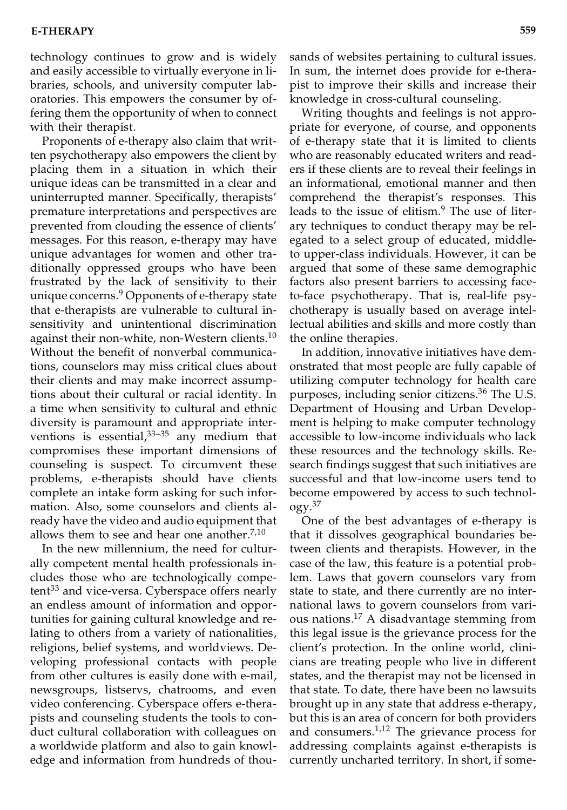## **E-THERAPY 559**

technology continues to grow and is widely and easily accessible to virtually everyone in li braries, schools, and university computer lab oratories. This empowers the consumer by offering them the opportunity of when to connect with their therapist.

Proponents of e-therapy also claim that written psychotherapy also empowers the client by placing them in a situation in which their unique ideas can be transmitted in a clear and uninterrupted manner. Specifically, therapists' premature interpretations and perspectives are prevented from clouding the essence of clients' messages. For this reason, e-therapy may have unique advantages for women and other tra ditionally oppressed groups who have been frustrated by the lack of sensitivity to their unique concerns.<sup>9</sup> Opponents of e-therapy state that e-therapists are vulnerable to cultural in sensitivity and unintentional discrimination against their non-white, non-Western clients. $10$ Without the benefit of nonverbal communications, counselors may miss critical clues about their clients and may make incorrect assumptions about their cultural or racial identity. In a time when sensitivity to cultural and ethnic diversity is paramount and appropriate inter ventions is essential, $33-35$  any medium that compromises these important dimensions of counseling is suspect. To circumvent these problems, e-therapists should have clients complete an intake form asking for such infor mation. Also, some counselors and clients al ready have the video and audio equipment that allows them to see and hear one another. $7,10$ 

In the new millennium, the need for cultur ally competent mental health professionals in cludes those who are technologically competent<sup>33</sup> and vice-versa. Cyberspace offers nearly an endless amount of information and opportunities for gaining cultural knowledge and relating to others from a variety of nationalities, religions, belief systems, and worldviews. De veloping professional contacts with people from other cultures is easily done with e-mail, newsgroups, listservs, chatrooms, and even video conferencing. Cyberspace offers e-thera pists and counseling students the tools to con duct cultural collaboration with colleagues on a worldwide platform and also to gain knowl edge and information from hundreds of thousands of websites pertaining to cultural issues. In sum, the internet does provide for e-thera pist to improve their skills and increase their knowledge in cross-cultural counseling.

Writing thoughts and feelings is not appro priate for everyone, of course, and opponents of e-therapy state that it is limited to clients who are reasonably educated writers and read ers if these clients are to reveal their feelings in an informational, emotional manner and then comprehend the therapist's responses. This leads to the issue of elitism.<sup>9</sup> The use of literary techniques to conduct therapy may be rel egated to a select group of educated, middleto upper-class individuals. However, it can be argued that some of these same demographic factors also present barriers to accessing faceto-face psychotherapy. That is, real-life psy chotherapy is usually based on average intellectual abilities and skills and more costly than the online therapies.

In addition, innovative initiatives have dem onstrated that most people are fully capable of utilizing computer technology for health care purposes, including senior citizens.<sup>36</sup> The U.S. Department of Housing and Urban Develop ment is helping to make computer technology accessible to low-income individuals who lack these resources and the technology skills. Re search findings suggest that such initiatives are successful and that low-income users tend to become empowered by access to such technol ogy.<sup>37</sup>

One of the best advantages of e-therapy is that it dissolves geographical boundaries between clients and therapists. However, in the case of the law, this feature is a potential problem. Laws that govern counselors vary from state to state, and there currently are no inter national laws to govern counselors from vari ous nations.<sup>17</sup> A disadvantage stemming from this legal issue is the grievance process for the client's protection. In the online world, clini cians are treating people who live in different states, and the therapist may not be licensed in that state. To date, there have been no lawsuits brought up in any state that address e-therapy, but this is an area of concern for both providers and consumers.1,12 The grievance process for addressing complaints against e-therapists is currently uncharted territory. In short, if some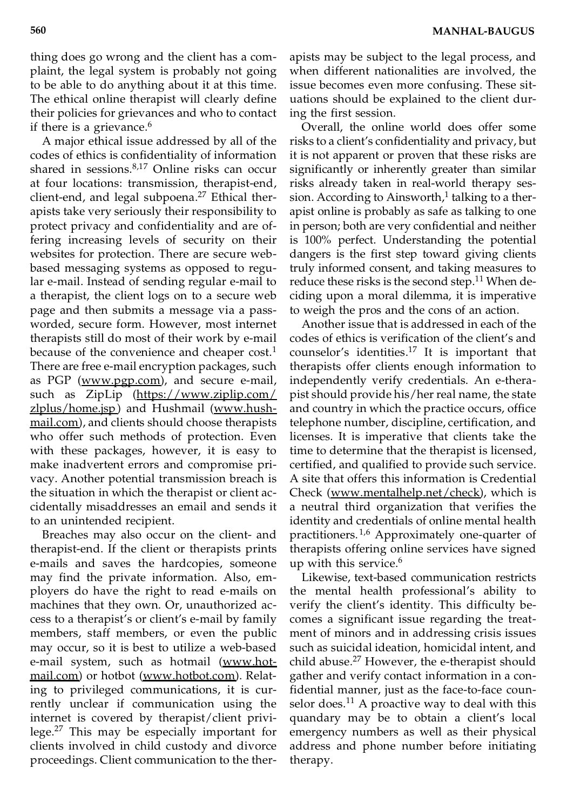thing does go wrong and the client has a com plaint, the legal system is probably not going to be able to do anything about it at this time. The ethical online therapist will clearly define their policies for grievances and who to contact if there is a grievance. $6$ 

A major ethical issue addressed by all of the codes of ethics is confidentiality of information shared in sessions.<sup>8,17</sup> Online risks can occur at four locations: transmission, therapist-end, client-end, and legal subpoena.<sup>27</sup> Ethical therapists take very seriously their responsibility to protect privacy and confidentiality and are offering increasing levels of security on their websites for protection. There are secure web based messaging systems as opposed to regular e-mail. Instead of sending regular e-mail to a therapist, the client logs on to a secure web page and then submits a message via a pass worded, secure form. However, most internet therapists still do most of their work by e-mail because of the convenience and cheaper  $cost<sup>1</sup>$ There are free e-mail encryption packages, such as PGP (www.pgp.com), and secure e-mail, such as ZipLip (https://www.ziplip.com/ zlplus/home.jsp) and Hushmail (www.hushmail.com), and clients should choose therapists who offer such methods of protection. Even with these packages, however, it is easy to make inadvertent errors and compromise pri vacy. Another potential transmission breach is the situation in which the therapist or client ac cidentally misaddresses an email and sends it to an unintended recipient.

Breaches may also occur on the client- and therapist-end. If the client or therapists prints e-mails and saves the hardcopies, someone may find the private information. Also, em ployers do have the right to read e-mails on machines that they own. Or, unauthorized ac cess to a therapist's or client's e-mail by family members, staff members, or even the public may occur, so it is best to utilize a web-based e-mail system, such as hotmail (www.hotmail.com) or hotbot (www.hotbot.com). Relating to privileged communications, it is cur rently unclear if communication using the internet is covered by therapist/client privilege.<sup>27</sup> This may be especially important for clients involved in child custody and divorce proceedings. Client communication to the therapists may be subject to the legal process, and when different nationalities are involved, the issue becomes even more confusing. These sit uations should be explained to the client during the first session.

Overall, the online world does offer some risks to a client's confidentiality and privacy, but it is not apparent or proven that these risks are significantly or inherently greater than similar risks already taken in real-world therapy ses sion. According to Ainsworth, $1$  talking to a therapist online is probably as safe as talking to one in person; both are very confidential and neither is 100% perfect. Understanding the potential dangers is the first step toward giving clients truly informed consent, and taking measures to reduce these risks is the second step.<sup>11</sup> When deciding upon a moral dilemma, it is imperative to weigh the pros and the cons of an action.

Another issue that is addressed in each of the codes of ethics is verification of the client's and counselor's identities.<sup>17</sup> It is important that therapists offer clients enough information to independently verify credentials. An e-thera pist should provide his/her real name, the state and country in which the practice occurs, office telephone number, discipline, certification, and licenses. It is imperative that clients take the time to determine that the therapist is licensed, certified, and qualified to provide such service. A site that offers this information is Credential Check (www.mentalhelp.net/check), which is a neutral third organization that verifies the identity and credentials of online mental health practitioners. 1,6 Approximately one-quarter of therapists offering online services have signed up with this service. $6$ 

Likewise, text-based communication restricts the mental health professional's ability to verify the client's identity. This difficulty be comes a significant issue regarding the treat ment of minors and in addressing crisis issues such as suicidal ideation, homicidal intent, and child abuse.<sup>27</sup> However, the e-therapist should gather and verify contact information in a confidential manner, just as the face-to-face coun selor does. $^{11}$  A proactive way to deal with this quandary may be to obtain a client's local emergency numbers as well as their physical address and phone number before initiating therapy.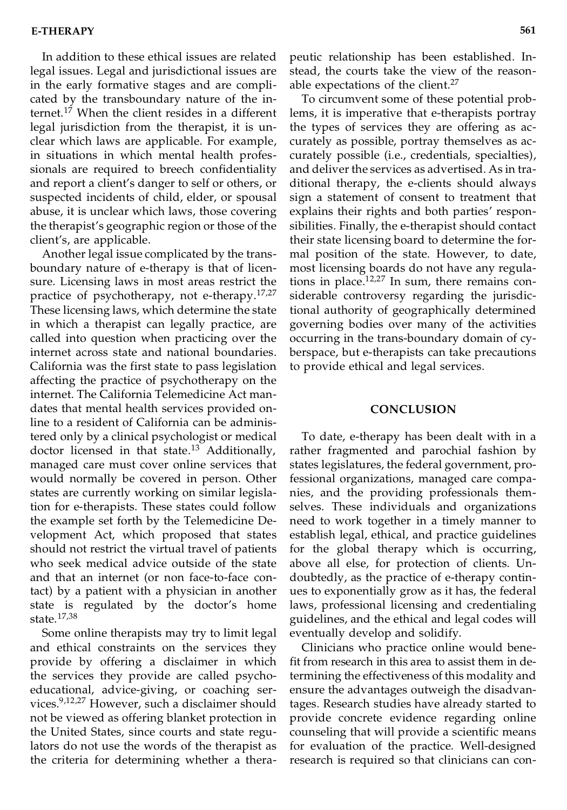In addition to these ethical issues are related legal issues. Legal and jurisdictional issues are in the early formative stages and are compli cated by the transboundary nature of the internet.<sup>17</sup> When the client resides in a different legal jurisdiction from the therapist, it is un clear which laws are applicable. For example, in situations in which mental health profes sionals are required to breech confidentiality and report a client's danger to self or others, or suspected incidents of child, elder, or spousal abuse, it is unclear which laws, those covering the therapist's geographic region or those of the client's, are applicable.

Another legal issue complicated by the trans boundary nature of e-therapy is that of licen sure. Licensing laws in most areas restrict the practice of psychotherapy, not e-therapy.17,27 These licensing laws, which determine the state in which a therapist can legally practice, are called into question when practicing over the internet across state and national boundaries. California was the first state to pass legislation affecting the practice of psychotherapy on the internet. The California Telemedicine Act man dates that mental health services provided online to a resident of California can be administered only by a clinical psychologist or medical doctor licensed in that state.<sup>13</sup> Additionally, managed care must cover online services that would normally be covered in person. Other states are currently working on similar legislation for e-therapists. These states could follow the example set forth by the Telemedicine De velopment Act, which proposed that states should not restrict the virtual travel of patients who seek medical advice outside of the state and that an internet (or non face-to-face contact) by a patient with a physician in another state is regulated by the doctor's home state.17,38

Some online therapists may try to limit legal and ethical constraints on the services they provide by offering a disclaimer in which the services they provide are called psycho educational, advice-giving, or coaching ser vices.9,12,27 However, such a disclaimer should not be viewed as offering blanket protection in the United States, since courts and state regulators do not use the words of the therapist as the criteria for determining whether a thera-

peutic relationship has been established. In stead, the courts take the view of the reason able expectations of the client.<sup>27</sup>

To circumvent some of these potential problems, it is imperative that e-therapists portray the types of services they are offering as ac curately as possible, portray themselves as ac curately possible (i.e., credentials, specialties), and deliver the services as advertised. As in tra ditional therapy, the e-clients should always sign a statement of consent to treatment that explains their rights and both parties' respon sibilities. Finally, the e-therapist should contact their state licensing board to determine the for mal position of the state. However, to date, most licensing boards do not have any regulations in place.<sup>12,27</sup> In sum, there remains considerable controversy regarding the jurisdictional authority of geographically determined governing bodies over many of the activities occurring in the trans-boundary domain of cy berspace, but e-therapists can take precautions to provide ethical and legal services.

## **CONCLUSION**

To date, e-therapy has been dealt with in a rather fragmented and parochial fashion by states legislatures, the federal government, professional organizations, managed care compa nies, and the providing professionals them selves. These individuals and organizations need to work together in a timely manner to establish legal, ethical, and practice guidelines for the global therapy which is occurring, above all else, for protection of clients. Un doubtedly, as the practice of e-therapy contin ues to exponentially grow as it has, the federal laws, professional licensing and credentialing guidelines, and the ethical and legal codes will eventually develop and solidify.

Clinicians who practice online would benefit from research in this area to assist them in determining the effectiveness of this modality and ensure the advantages outweigh the disadvantages. Research studies have already started to provide concrete evidence regarding online counseling that will provide a scientific means for evaluation of the practice. Well-designed research is required so that clinicians can con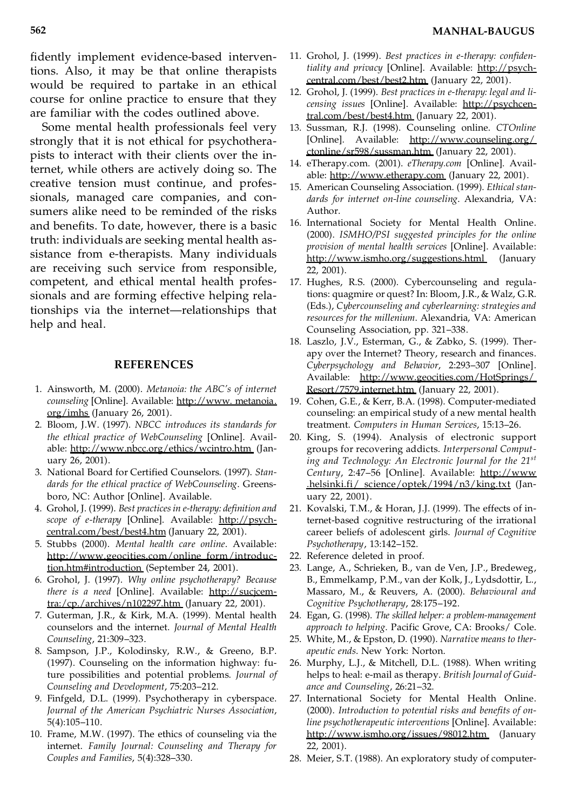fidently implement evidence-based interventions. Also, it may be that online therapists would be required to partake in an ethical course for online practice to ensure that they are familiar with the codes outlined above.

Some mental health professionals feel very strongly that it is not ethical for psychothera pists to interact with their clients over the internet, while others are actively doing so. The creative tension must continue, and profes sionals, managed care companies, and con sumers alike need to be reminded of the risks and benefits. To date, however, there is a basic truth: individuals are seeking mental health as sistance from e-therapists. Many individuals are receiving such service from responsible, competent, and ethical mental health profes sionals and are forming effective helping relationships via the internet—relationships that help and heal.

# **REFERENCES**

- 1. Ainsworth, M. (2000). *Metanoia: the ABC's of internet counseling* [Online]. Available: http://www. metanoia. org/imhs (January 26, 2001).
- 2. Bloom, J.W. (1997). *NBCC introduces its standards for the ethical practice of WebCounseling* [Online]. Avail able: http://www.nbcc.org/ethics/wcintro.htm (January 26, 2001).
- 3. National Board for Certified Counselors. (1997). *Standards for the ethical practice of WebCounseling*. Greensboro, NC: Author [Online]. Available.
- 4. Grohol, J. (1999). *Best practices in e-therapy: definition and scope of e-therapy* [Online]. Available: http://psych central.com/best/best4.htm (January 22, 2001).
- 5. Stubbs (2000). *Mental health care online*. Available: http://www.geocities.com/online\_form/introduction.htm#introduction (September 24, 2001).
- 6. Grohol, J. (1997). *Why online psychotherapy? Because there is a need* [Online]. Available: http://sucjcemtra:/cp./archives/n102297.htm (January 22, 2001).
- 7. Guterman, J.R., & Kirk, M.A. (1999). Mental health counselors and the internet. *Journal of Mental Health Counseling*, 21:309–323.
- 8. Sampson, J.P., Kolodinsky, R.W., & Greeno, B.P. (1997). Counseling on the information highway: future possibilities and potential problems. *Journal of Counseling and Development*, 75:203–212.
- 9. Finfgeld, D.L. (1999). Psychotherapy in cyberspace. *Journal of the American Psychiatric Nurses Association*, 5(4):105–110.
- 10. Frame, M.W. (1997). The ethics of counseling via the internet. *Family Journal: Counseling and Therapy for Couples and Families*, 5(4):328–330.
- 11. Grohol, J. (1999). *Best practices in e-therapy: confidentiality and privacy* [Online]. Available: http://psych central.com/best/best2.htm (January 22, 2001).
- 12. Grohol, J. (1999). *Best practices in e-therapy: legal and li censing issues* [Online]. Available: http://psychcentral.com/best/best4.htm (January 22, 2001).
- 13. Sussman, R.J. (1998). Counseling online. *CTOnline* [Online]. Available: http://www.counseling.org/ ctonline/sr598/sussman.htm (January 22, 2001).
- 14. eTherapy.com. (2001). *eTherapy.com* [Online]. Avail able: http://www.etherapy.com (January 22, 2001).
- 15. American Counseling Association. (1999). *Ethical stan dards for internet on-line counseling*. Alexandria, VA: Author.
- 16. International Society for Mental Health Online. (2000). *ISMHO/PSI suggested principles for the online provision of mental health services* [Online]. Available: http://www.ismho.org/suggestions.html (January 22, 2001).
- 17. Hughes, R.S. (2000). Cybercounseling and regulations: quagmire or quest? In: Bloom, J.R., & Walz, G.R. (Eds.), *Cybercounseling and cyberlearning: strategies and resources for the millenium*. Alexandria, VA: American Counseling Association, pp. 321–338.
- 18. Laszlo, J.V., Esterman, G., & Zabko, S. (1999). Ther apy over the Internet? Theory, research and finances. *Cyberpsychology and Behavior*, 2:293–307 [Online]. Available: http://www.geocities.com/HotSprings/ Resort/7579.internet.htm (January 22, 2001).
- 19. Cohen, G.E., & Kerr, B.A. (1998). Computer-mediated counseling: an empirical study of a new mental health treatment. *Computers in Human Services*, 15:13–26.
- 20. King, S. (1994). Analysis of electronic support groups for recovering addicts. *Interpersonal Computing and Technology: An Electronic Journal for the 21st Century*, 2:47–56 [Online]. Available: http://www .helsinki.fi/ science/optek/1994/n3/king.txt (January 22, 2001).
- 21. Kovalski, T.M., & Horan, J.J. (1999). The effects of internet-based cognitive restructuring of the irrational career beliefs of adolescent girls. *Journal of Cognitive Psychotherapy*, 13:142–152.
- 22. Reference deleted in proof.
- 23. Lange, A., Schrieken, B., van de Ven, J.P., Bredeweg, B., Emmelkamp, P.M., van der Kolk, J., Lydsdottir, L., Massaro, M., & Reuvers, A. (2000). *Behavioural and Cognitive Psychotherapy*, 28:175–192.
- 24. Egan, G. (1998). *The skilled helper: a problem-management approach to helping*. Pacific Grove, CA: Brooks/ Cole.
- 25. White, M., & Epston, D. (1990). *Narrative means to ther apeutic ends*. New York: Norton.
- 26. Murphy, L.J., & Mitchell, D.L. (1988). When writing helps to heal: e-mail as therapy. *British Journal of Guid ance and Counseling*, 26:21–32.
- 27. International Society for Mental Health Online. (2000). *Introduction to potential risks and benefits of online psychotherapeutic interventions* [Online]. Available: http://www.ismho.org/issues/98012.htm (January 22, 2001).
- 28. Meier, S.T. (1988). An exploratory study of computer-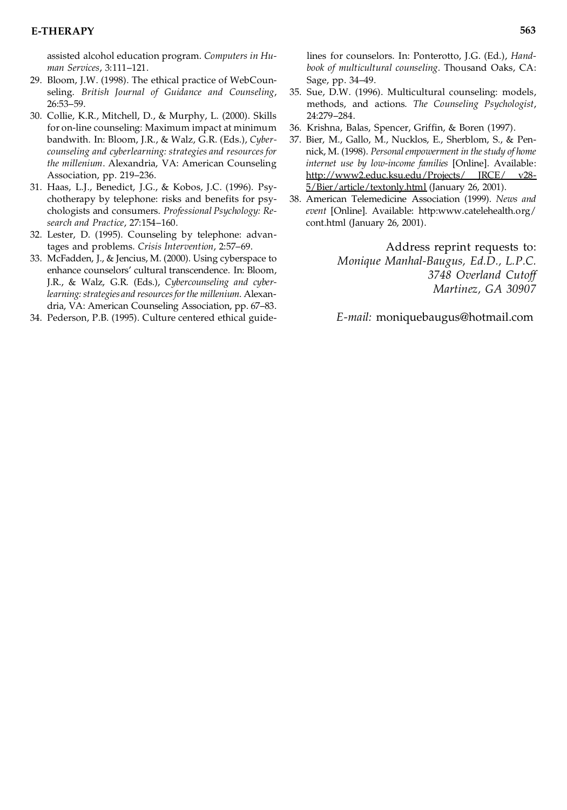## **E-THERAPY 563**

assisted alcohol education program. *Computers in Hu man Services*, 3:111–121.

- 29. Bloom, J.W. (1998). The ethical practice of WebCoun seling. *British Journal of Guidance and Counseling*, 26:53–59.
- 30. Collie, K.R., Mitchell, D., & Murphy, L. (2000). Skills for on-line counseling: Maximum impact at minimum bandwith. In: Bloom, J.R., & Walz, G.R. (Eds.), *Cybercounseling and cyberlearning: strategies and resources for the millenium*. Alexandria, VA: American Counseling Association, pp. 219–236.
- 31. Haas, L.J., Benedict, J.G., & Kobos, J.C. (1996). Psy chotherapy by telephone: risks and benefits for psy chologists and consumers. *Professional Psychology: Research and Practice*, 27:154–160.
- 32. Lester, D. (1995). Counseling by telephone: advantages and problems. *Crisis Intervention*, 2:57–69.
- 33. McFadden, J., & Jencius, M. (2000). Using cyberspace to enhance counselors' cultural transcendence. In: Bloom, J.R., & Walz, G.R. (Eds.), *Cybercounseling and cyberlearning: strategies and resources for the millenium*. Alexandria, VA: American Counseling Association, pp. 67–83.
- 34. Pederson, P.B. (1995). Culture centered ethical guide-

lines for counselors. In: Ponterotto, J.G. (Ed.), *Handbook of multicultural counseling*. Thousand Oaks, CA: Sage, pp. 34–49.

- 35. Sue, D.W. (1996). Multicultural counseling: models, methods, and actions. *The Counseling Psychologist*, 24:279–284.
- 36. Krishna, Balas, Spencer, Griffin, & Boren (1997).
- 37. Bier, M., Gallo, M., Nucklos, E., Sherblom, S., & Pen nick, M. (1998). *Personal empowerment in the study of home internet use by low-income families* [Online]. Available: http://www2.educ.ksu.edu/Projects/ IRCE/ v28-5/Bier/article/textonly.html (January 26, 2001).
- 38. American Telemedicine Association (1999). *News and event* [Online]. Available: http:www.catelehealth.org/ cont.html (January 26, 2001).

Address reprint requests to: *Monique Manhal-Baugus, Ed.D., L.P.C. 3748 Overland Cutoff Martinez, GA 30907*

*E-mail:* moniquebaugus@hotmail.com